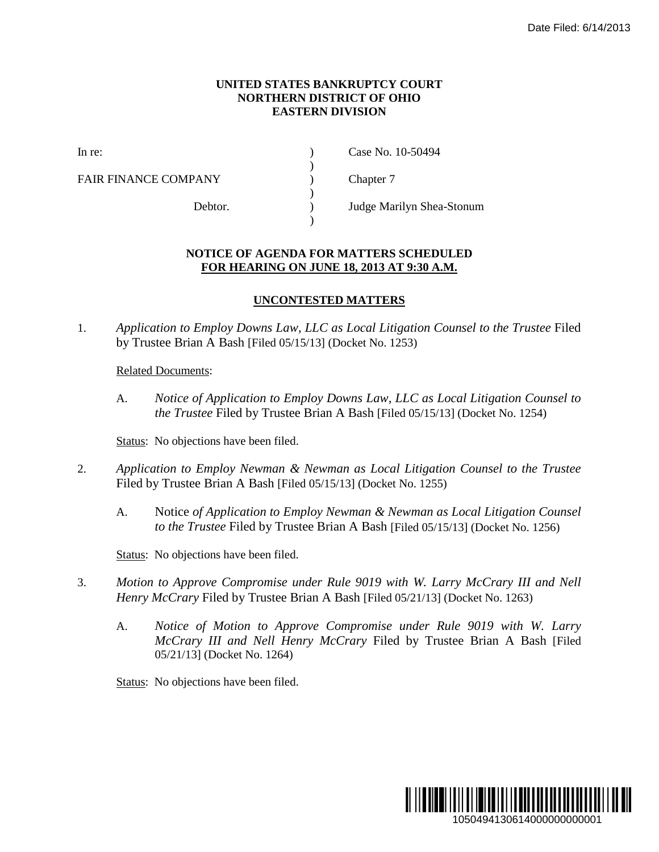## **UNITED STATES BANKRUPTCY COURT NORTHERN DISTRICT OF OHIO EASTERN DIVISION**

)

 $\lambda$ 

)

FAIR FINANCE COMPANY (and  $\Gamma$ ) Chapter 7

In re: (a) Case No. 10-50494

Debtor. ) Judge Marilyn Shea-Stonum

## **NOTICE OF AGENDA FOR MATTERS SCHEDULED FOR HEARING ON JUNE 18, 2013 AT 9:30 A.M.**

## **UNCONTESTED MATTERS**

1. *Application to Employ Downs Law, LLC as Local Litigation Counsel to the Trustee* Filed by Trustee Brian A Bash [Filed 05/15/13] (Docket No. 1253)

## Related Documents:

A. *Notice of Application to Employ Downs Law, LLC as Local Litigation Counsel to the Trustee* Filed by Trustee Brian A Bash [Filed 05/15/13] (Docket No. 1254)

Status: No objections have been filed.

- 2. *Application to Employ Newman & Newman as Local Litigation Counsel to the Trustee* Filed by Trustee Brian A Bash [Filed 05/15/13] (Docket No. 1255)
	- A. Notice *of Application to Employ Newman & Newman as Local Litigation Counsel to the Trustee* Filed by Trustee Brian A Bash [Filed 05/15/13] (Docket No. 1256)

Status: No objections have been filed.

- 3. *Motion to Approve Compromise under Rule 9019 with W. Larry McCrary III and Nell Henry McCrary* Filed by Trustee Brian A Bash [Filed 05/21/13] (Docket No. 1263)
	- A. *Notice of Motion to Approve Compromise under Rule 9019 with W. Larry McCrary III and Nell Henry McCrary* Filed by Trustee Brian A Bash [Filed 05/21/13] (Docket No. 1264)

Status: No objections have been filed.